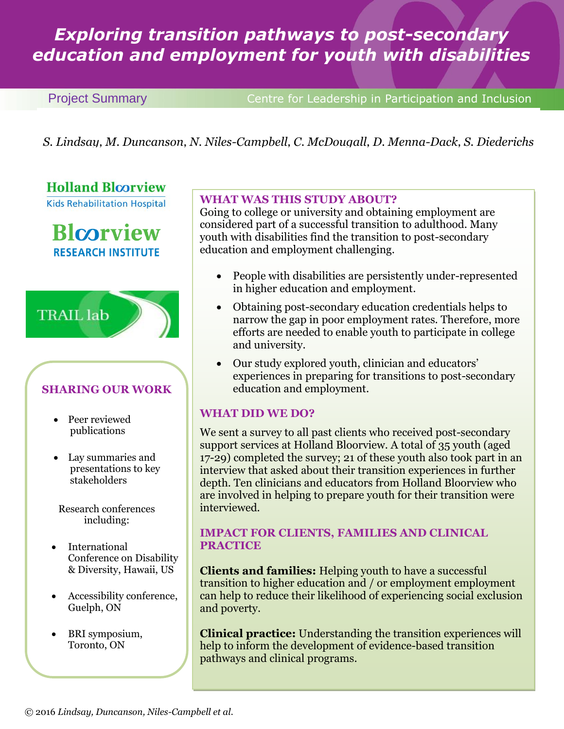# *Exploring transition pathways to post-secondary education and employment for youth with disabilities*

**Project Summary Centre for Leadership in Participation and Inclusion** 

*S. Lindsay, M. Duncanson, N. Niles-Campbell, C. McDougall, D. Menna-Dack, S. Diederichs* 

**Holland Bloorview** 

**Kids Rehabilitation Hospital** 

**Blcorview RESEARCH INSTITUTE** 



## **SHARING OUR WORK**

- Peer reviewed publications
- Lay summaries and presentations to key stakeholders
- Research conferences including:
- International Conference on Disability & Diversity, Hawaii, US
- Accessibility conference, Guelph, ON
- BRI symposium, Toronto, ON

## **WHAT WAS THIS STUDY ABOUT?**

Going to college or university and obtaining employment are considered part of a successful transition to adulthood. Many youth with disabilities find the transition to post-secondary education and employment challenging.

- People with disabilities are persistently under-represented in higher education and employment.
- Obtaining post-secondary education credentials helps to narrow the gap in poor employment rates. Therefore, more efforts are needed to enable youth to participate in college and university.
- Our study explored youth, clinician and educators' experiences in preparing for transitions to post-secondary education and employment.

## **WHAT DID WE DO?**

We sent a survey to all past clients who received post-secondary support services at Holland Bloorview. A total of 35 youth (aged 17-29) completed the survey; 21 of these youth also took part in an interview that asked about their transition experiences in further depth. Ten clinicians and educators from Holland Bloorview who are involved in helping to prepare youth for their transition were interviewed.

## **IMPACT FOR CLIENTS, FAMILIES AND CLINICAL PRACTICE**

**Clients and families:** Helping youth to have a successful transition to higher education and / or employment employment can help to reduce their likelihood of experiencing social exclusion and poverty.

**Clinical practice:** Understanding the transition experiences will help to inform the development of evidence-based transition pathways and clinical programs.